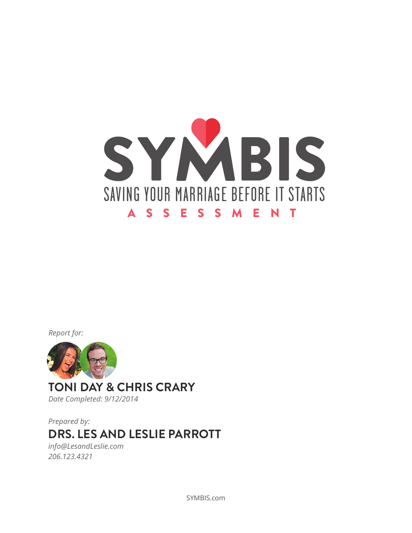

*Report for:*



**TONI DAY & CHRIS CRARY** *Date Completed: 9/12/2014*

**DRS. LES AND LESLIE PARROTT** *Prepared by:*

*info@LesandLeslie.com 206.123.4321*

SYMBIS.com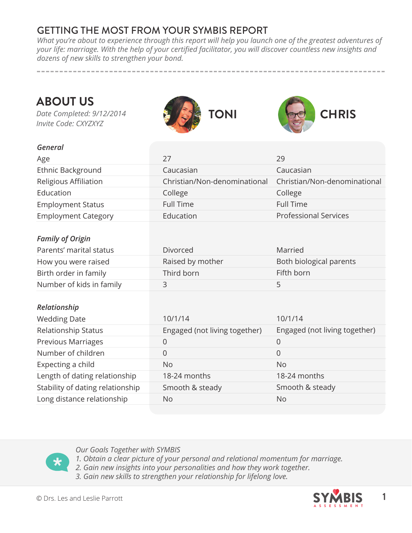### GETTING THE MOST FROM YOUR SYMBIS REPORT

*What you're about to experience through this report will help you launch one of the greatest adventures of your life: marriage. With the help of your certified facilitator, you will discover countless new insights and dozens of new skills to strengthen your bond.* 

**ABOUT US**

*Date Completed: 9/12/2014 Invite Code: CXYZXYZ*





#### *General*

| Age                              | 27                            | 29                            |
|----------------------------------|-------------------------------|-------------------------------|
| Ethnic Background                | Caucasian                     | Caucasian                     |
| Religious Affiliation            | Christian/Non-denominational  | Christian/Non-denominational  |
| Education                        | College                       | College                       |
| <b>Employment Status</b>         | <b>Full Time</b>              | <b>Full Time</b>              |
| <b>Employment Category</b>       | Education                     | <b>Professional Services</b>  |
|                                  |                               |                               |
| <b>Family of Origin</b>          |                               |                               |
| Parents' marital status          | Divorced                      | Married                       |
| How you were raised              | Raised by mother              | Both biological parents       |
| Birth order in family            | Third born                    | Fifth born                    |
| Number of kids in family         | 3                             | 5                             |
|                                  |                               |                               |
| Relationship                     |                               |                               |
| <b>Wedding Date</b>              | 10/1/14                       | 10/1/14                       |
| Relationship Status              | Engaged (not living together) | Engaged (not living together) |
| <b>Previous Marriages</b>        | $\mathbf 0$                   | $\mathsf{O}\xspace$           |
| Number of children               | 0                             | $\overline{0}$                |
| Expecting a child                | <b>No</b>                     | <b>No</b>                     |
| Length of dating relationship    | 18-24 months                  | 18-24 months                  |
| Stability of dating relationship | Smooth & steady               | Smooth & steady               |
| Long distance relationship       | <b>No</b>                     | <b>No</b>                     |

#### *Our Goals Together with SYMBIS*

*1. Obtain a clear picture of your personal and relational momentum for marriage.*

- *2. Gain new insights into your personalities and how they work together.*
- *3. Gain new skills to strengthen your relationship for lifelong love.*

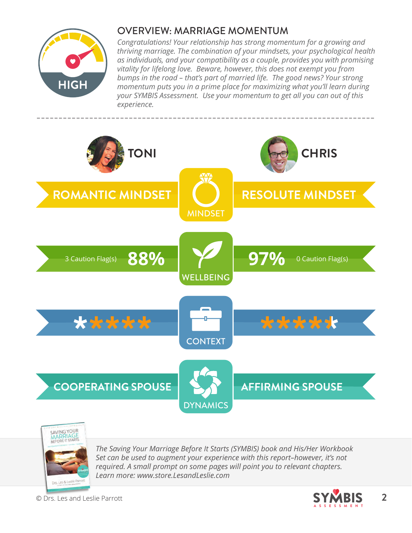

## OVERVIEW: MARRIAGE MOMENTUM

*Congratulations! Your relationship has strong momentum for a growing and thriving marriage. The combination of your mindsets, your psychological health as individuals, and your compatibility as a couple, provides you with promising vitality for lifelong love. Beware, however, this does not exempt you from bumps in the road – that's part of married life. The good news? Your strong momentum puts you in a prime place for maximizing what you'll learn during your SYMBIS Assessment. Use your momentum to get all you can out of this experience.*





*The Saving Your Marriage Before It Starts (SYMBIS) book and His/Her Workbook Set can be used to augment your experience with this report–however, it's not required. A small prompt on some pages will point you to relevant chapters. Learn more: www.store.LesandLeslie.com*

© Drs. Les and Leslie Parrott **2**

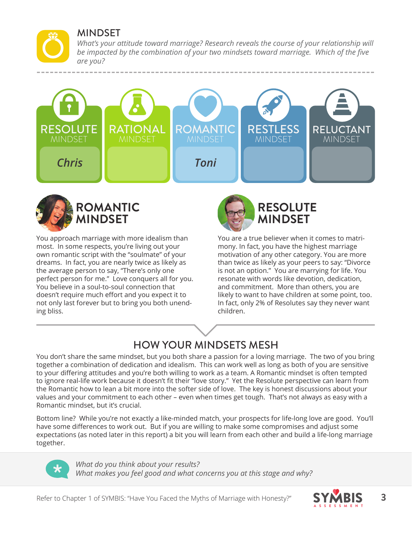### MINDSET

*What's your attitude toward marriage? Research reveals the course of your relationship will be impacted by the combination of your two mindsets toward marriage. Which of the five are you?*





You approach marriage with more idealism than most. In some respects, you're living out your own romantic script with the "soulmate" of your dreams. In fact, you are nearly twice as likely as the average person to say, "There's only one perfect person for me." Love conquers all for you. You believe in a soul-to-soul connection that doesn't require much effort and you expect it to not only last forever but to bring you both unending bliss.



You are a true believer when it comes to matrimony. In fact, you have the highest marriage motivation of any other category. You are more than twice as likely as your peers to say: "Divorce is not an option." You are marrying for life. You resonate with words like devotion, dedication, and commitment. More than others, you are likely to want to have children at some point, too. In fact, only 2% of Resolutes say they never want children.

# HOW YOUR MINDSETS MESH

You don't share the same mindset, but you both share a passion for a loving marriage. The two of you bring together a combination of dedication and idealism. This can work well as long as both of you are sensitive to your differing attitudes and you're both willing to work as a team. A Romantic mindset is often tempted to ignore real-life work because it doesn't fit their "love story." Yet the Resolute perspective can learn from the Romantic how to lean a bit more into the softer side of love. The key is honest discussions about your values and your commitment to each other – even when times get tough. That's not always as easy with a Romantic mindset, but it's crucial.

Bottom line? While you're not exactly a like-minded match, your prospects for life-long love are good. You'll have some differences to work out. But if you are willing to make some compromises and adjust some expectations (as noted later in this report) a bit you will learn from each other and build a life-long marriage together.



*What do you think about your results? What makes you feel good and what concerns you at this stage and why?* 

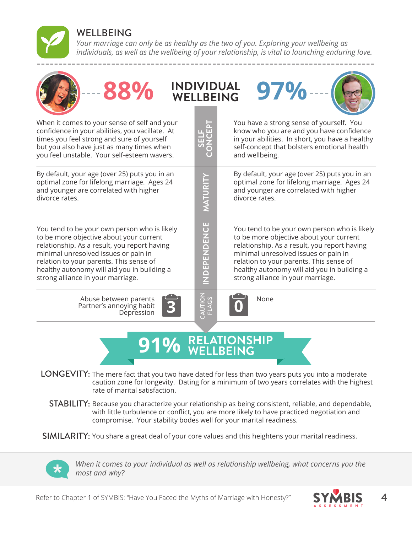

*Your marriage can only be as healthy as the two of you. Exploring your wellbeing as individuals, as well as the wellbeing of your relationship, is vital to launching enduring love.*

| 88%                                                                                                                                                                                                                                                                                                            | <b>WELLBEING</b>               | <b>INDIVIDUAL</b><br>97%                                                                                                                                                                                                                                                                                       |
|----------------------------------------------------------------------------------------------------------------------------------------------------------------------------------------------------------------------------------------------------------------------------------------------------------------|--------------------------------|----------------------------------------------------------------------------------------------------------------------------------------------------------------------------------------------------------------------------------------------------------------------------------------------------------------|
| When it comes to your sense of self and your<br>confidence in your abilities, you vacillate. At<br>times you feel strong and sure of yourself<br>but you also have just as many times when<br>you feel unstable. Your self-esteem wavers.                                                                      | π<br>노<br>니그<br>SS             | You have a strong sense of yourself. You<br>know who you are and you have confidence<br>in your abilities. In short, you have a healthy<br>self-concept that bolsters emotional health<br>and wellbeing.                                                                                                       |
| By default, your age (over 25) puts you in an<br>optimal zone for lifelong marriage. Ages 24<br>and younger are correlated with higher<br>divorce rates.                                                                                                                                                       | MATURITY                       | By default, your age (over 25) puts you in an<br>optimal zone for lifelong marriage. Ages 24<br>and younger are correlated with higher<br>divorce rates.                                                                                                                                                       |
| You tend to be your own person who is likely<br>to be more objective about your current<br>relationship. As a result, you report having<br>minimal unresolved issues or pain in<br>relation to your parents. This sense of<br>healthy autonomy will aid you in building a<br>strong alliance in your marriage. | <b>NDEPENDENCE</b>             | You tend to be your own person who is likely<br>to be more objective about your current<br>relationship. As a result, you report having<br>minimal unresolved issues or pain in<br>relation to your parents. This sense of<br>healthy autonomy will aid you in building a<br>strong alliance in your marriage. |
| Abuse between parents<br>Partner's annoying habit<br>Depression                                                                                                                                                                                                                                                | <b>CAUTION</b><br><b>FLAGS</b> | None                                                                                                                                                                                                                                                                                                           |
|                                                                                                                                                                                                                                                                                                                |                                | RELATIONSHIP<br>ELLBEING                                                                                                                                                                                                                                                                                       |

LONGEVITY: The mere fact that you two have dated for less than two years puts you into a moderate caution zone for longevity. Dating for a minimum of two years correlates with the highest rate of marital satisfaction.

STABILITY: Because you characterize your relationship as being consistent, reliable, and dependable, with little turbulence or conflict, you are more likely to have practiced negotiation and compromise. Your stability bodes well for your marital readiness.

SIMILARITY: You share a great deal of your core values and this heightens your marital readiness.



*When it comes to your individual as well as relationship wellbeing, what concerns you the most and why?*

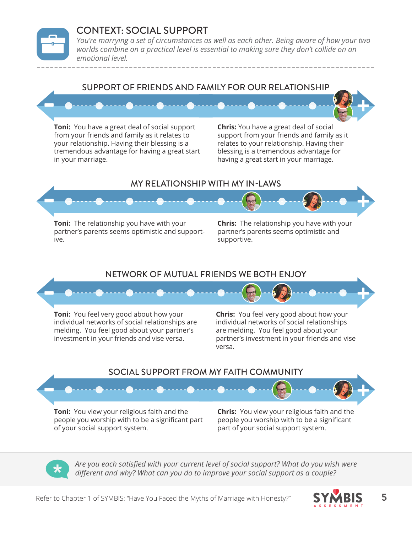#### CONTEXT: SOCIAL SUPPORT

*You're marrying a set of circumstances as well as each other. Being aware of how your two worlds combine on a practical level is essential to making sure they don't collide on an emotional level.*



**Toni:** You have a great deal of social support from your friends and family as it relates to your relationship. Having their blessing is a tremendous advantage for having a great start in your marriage.

**Chris:** You have a great deal of social support from your friends and family as it relates to your relationship. Having their blessing is a tremendous advantage for having a great start in your marriage.

#### MY RELATIONSHIP WITH MY IN-LAWS



**Toni:** The relationship you have with your partner's parents seems optimistic and supportive.

**Chris:** The relationship you have with your partner's parents seems optimistic and supportive.

#### NETWORK OF MUTUAL FRIENDS WE BOTH ENJOY



**Toni:** You feel very good about how your individual networks of social relationships are melding. You feel good about your partner's investment in your friends and vise versa.

**Chris:** You feel very good about how your individual networks of social relationships are melding. You feel good about your partner's investment in your friends and vise versa.

#### SOCIAL SUPPORT FROM MY FAITH COMMUNITY



people you worship with to be a significant part of your social support system.

people you worship with to be a significant part of your social support system.

*Are you each satisfied with your current level of social support? What do you wish were different and why? What can you do to improve your social support as a couple?* 

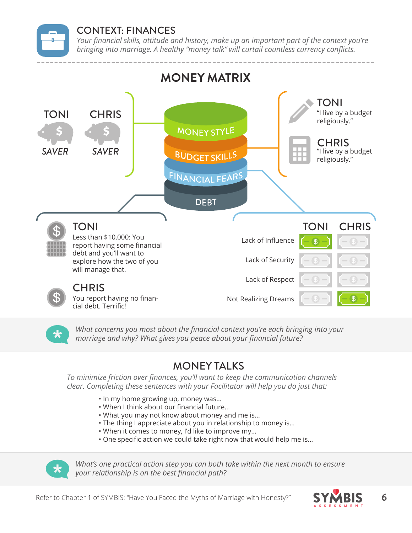

#### CONTEXT: FINANCES

*Your financial skills, attitude and history, make up an important part of the context you're bringing into marriage. A healthy "money talk" will curtail countless currency conflicts.* 



*What concerns you most about the financial context you're each bringing into your marriage and why? What gives you peace about your financial future?*

# MONEY TALKS

*To minimize friction over finances, you'll want to keep the communication channels clear. Completing these sentences with your Facilitator will help you do just that:*

- In my home growing up, money was…
- When I think about our financial future…
- What you may not know about money and me is…
- The thing I appreciate about you in relationship to money is…
- When it comes to money, I'd like to improve my…
- One specific action we could take right now that would help me is…



*What's one practical action step you can both take within the next month to ensure your relationship is on the best financial path?*

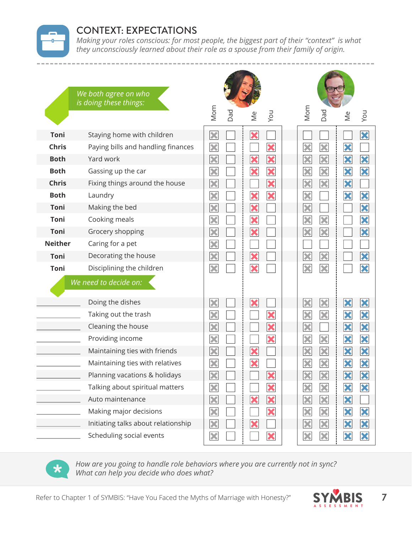

### CONTEXT: EXPECTATIONS

*Making your roles conscious: for most people, the biggest part of their "context" is what they unconsciously learned about their role as a spouse from their family of origin.*

|                | We both agree on who<br>is doing these things:                                                                             |                         |     |               |     |                        |               |               |          |
|----------------|----------------------------------------------------------------------------------------------------------------------------|-------------------------|-----|---------------|-----|------------------------|---------------|---------------|----------|
|                |                                                                                                                            | Mom                     | Dad | $\frac{e}{2}$ | Vou | Mom                    | Dad           | $\frac{e}{2}$ | Vou      |
| Toni           | Staying home with children                                                                                                 | $\overline{\mathbf{X}}$ |     | ×             |     |                        |               |               | X        |
| <b>Chris</b>   | Paying bills and handling finances                                                                                         | ×                       |     |               | ×   | ×                      | ×             | ×             |          |
| <b>Both</b>    | Yard work                                                                                                                  | ×                       |     | ×             | X   | ×                      | ×             | X             | X        |
| <b>Both</b>    | Gassing up the car                                                                                                         | X                       |     | ×             | X   | ×                      | ×             | X             | $\bm{x}$ |
| <b>Chris</b>   | Fixing things around the house                                                                                             | ×                       |     |               | ×   | ×                      | X             | X             |          |
| <b>Both</b>    | Laundry                                                                                                                    | ×                       |     | ×             | X   | ×                      |               | X             | ×        |
| <b>Toni</b>    | Making the bed                                                                                                             | ×                       |     | ×             |     | ×                      |               |               | X        |
| Toni           | Cooking meals                                                                                                              | X                       |     | ×             |     | ×                      | ×             |               | ×        |
| <b>Toni</b>    | Grocery shopping                                                                                                           | ×                       |     | ×             |     | ×                      | ×             |               | ×        |
| <b>Neither</b> | Caring for a pet                                                                                                           | X                       |     |               |     |                        |               |               |          |
| <b>Toni</b>    | Decorating the house                                                                                                       | ×                       |     | ×             |     | ×                      | X             |               | X        |
| Toni           | Disciplining the children                                                                                                  | ×                       |     | ×             |     | ×                      | ×             |               | ×        |
|                | We need to decide on:                                                                                                      |                         |     |               |     |                        |               |               |          |
|                | Doing the dishes                                                                                                           | ×                       |     | ×             |     | ×                      | ×             | ×             | ×        |
|                | Taking out the trash                                                                                                       | $\overline{\textbf{x}}$ |     |               | ×   | ×                      | ×             | X             | X        |
|                | Cleaning the house                                                                                                         | $\overline{\textbf{x}}$ |     |               | X   | ×                      |               | X             | X        |
|                | Providing income                                                                                                           | ×                       |     |               | X   | ×                      | ×             | X             | X        |
|                | Maintaining ties with friends                                                                                              | $\overline{\textbf{x}}$ |     | ×             |     | ×                      | ×             | ×             | X        |
|                | Maintaining ties with relatives                                                                                            | ×                       |     | ×             |     | ×                      | ×             | X             | X        |
|                | Planning vacations & holidays                                                                                              | ×                       |     |               | ×   | ×                      | ×             | ×             | X        |
|                | Talking about spiritual matters                                                                                            | X                       |     |               | ×   | ×                      | ×             | $\bm{x}$      | $\bm{x}$ |
|                | Auto maintenance                                                                                                           | ×                       |     | ×             | X   | $\vert\mathbf{x}\vert$ | ×             | X             |          |
|                | Making major decisions                                                                                                     | ×                       |     |               | ×   | ×                      | ×             | $\mathbf x$   | $\bm{x}$ |
|                | Initiating talks about relationship                                                                                        | ×                       |     |               |     | ×                      | ×             | X             | X        |
|                | Scheduling social events                                                                                                   | ×                       |     |               | ×   | ×                      | X             | X             | X        |
| $\bigstar$     | How are you going to handle role behaviors where you are currently not in sync?<br>What can help you decide who does what? |                         |     |               |     |                        |               |               |          |
|                | Refer to Chapter 1 of SYMBIS: "Have You Faced the Myths of Marriage with Honesty?"                                         |                         |     |               |     |                        | <b>SYMBIS</b> |               |          |



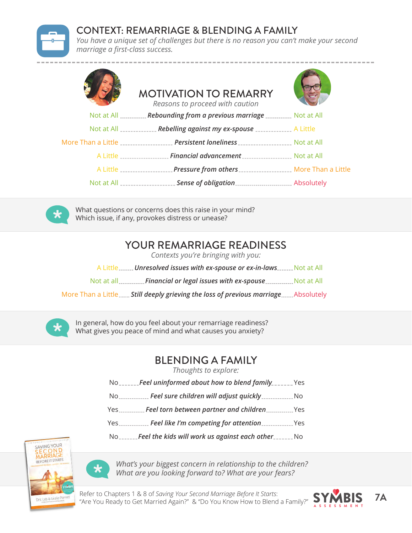

#### CONTEXT: REMARRIAGE & BLENDING A FAMILY

*You have a unique set of challenges but there is no reason you can't make your second marriage a first-class success.*

| <b>MOTIVATION TO REMARRY</b><br>Reasons to proceed with caution                          |  |
|------------------------------------------------------------------------------------------|--|
| Not at All  Rebounding from a previous marriage  Not at All                              |  |
| Not at All ______________ Rebelling against my ex-spouse ______________ A Little         |  |
| More Than a Little  Persistent loneliness  Not at All                                    |  |
| A Little __________________ Financial advancement ____________________ Not at All        |  |
| A Little ___________________Pressure from others ____________________ More Than a Little |  |
|                                                                                          |  |



What questions or concerns does this raise in your mind? Which issue, if any, provokes distress or unease?

### YOUR REMARRIAGE READINESS

*Contexts you're bringing with you:*

A Little<sub>------</sub> Unresolved issues with ex-spouse or ex-in-laws<sub>------</sub> Not at All

Not at all<sub>……………</sub>Financial or legal issues with ex-spouse………………Not at All

More Than a Little **....... Still deeply grieving the loss of previous marriage.......**Absolutely



In general, how do you feel about your remarriage readiness? What gives you peace of mind and what causes you anxiety?

## BLENDING A FAMILY

*Thoughts to explore:*

- No<sub>-------</sub>**Feel uninformed about how to blend family**\_\_\_\_\_\_Yes
- No No *Feel sure children will adjust quickly*
- Yes………….. **Feel torn between partner and children…………….**. Yes
- Yes **Feel like I'm competing for attention** Figure 2015

No \_\_\_\_\_\_Feel the kids will work us against each other \_\_\_\_\_\_\_ No





*What's your biggest concern in relationship to the children? What are you looking forward to? What are your fears?*

Refer to Chapters 1 & 8 of *Saving Your Second Marriage Before It Starts*: Keler to Chapters T & 8 of *Saving Your Second Marriage Bejore it Starts:*<br>"Are You Ready to Get Married Again?" & "Do You Know How to Blend a Family?" **SYMBIS** 7**A** 

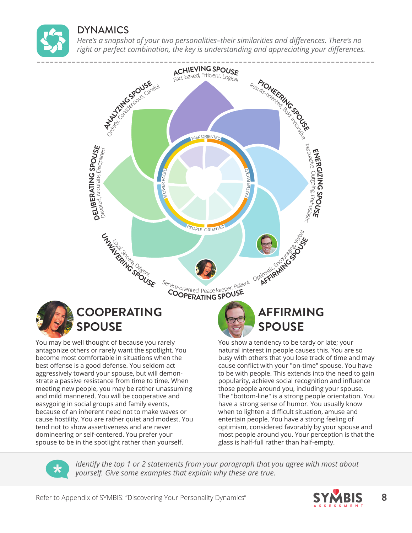

#### DYNAMICS

*Here's a snapshot of your two personalities–their similarities and differences. There's no right or perfect combination, the key is understanding and appreciating your differences.*



have a strong sense of humor. You usually know when to lighten a difficult situation, amuse and entertain people. You have a strong feeling of optimism, considered favorably by your spouse and most people around you. Your perception is that the glass is half-full rather than half-empty.

*Identify the top 1 or 2 statements from your paragraph that you agree with most about yourself. Give some examples that explain why these are true.*

tend not to show assertiveness and are never domineering or self-centered. You prefer your spouse to be in the spotlight rather than yourself.

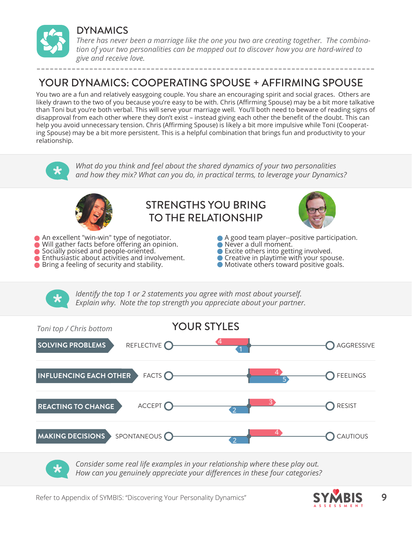

#### DYNAMICS

*There has never been a marriage like the one you two are creating together. The combination of your two personalities can be mapped out to discover how you are hard-wired to give and receive love.*

## YOUR DYNAMICS: COOPERATING SPOUSE + AFFIRMING SPOUSE

You two are a fun and relatively easygoing couple. You share an encouraging spirit and social graces. Others are likely drawn to the two of you because you're easy to be with. Chris (Affirming Spouse) may be a bit more talkative than Toni but you're both verbal. This will serve your marriage well. You'll both need to beware of reading signs of disapproval from each other where they don't exist – instead giving each other the benefit of the doubt. This can help you avoid unnecessary tension. Chris (Affirming Spouse) is likely a bit more impulsive while Toni (Cooperating Spouse) may be a bit more persistent. This is a helpful combination that brings fun and productivity to your relationship.



| FACTS <sup>O</sup><br><b>INFLUENCING EACH OTHER</b> |                   | FEELINGS        |
|-----------------------------------------------------|-------------------|-----------------|
| ACCEPT O<br><b>REACTING TO CHANGE</b>               | $\mathbf{\Omega}$ | RESIST          |
| SPONTANEOUS <sup>O</sup><br><b>MAKING DECISIONS</b> |                   | <b>CAUTIOUS</b> |

*Consider some real life examples in your relationship where these play out. How can you genuinely appreciate your differences in these four categories?*

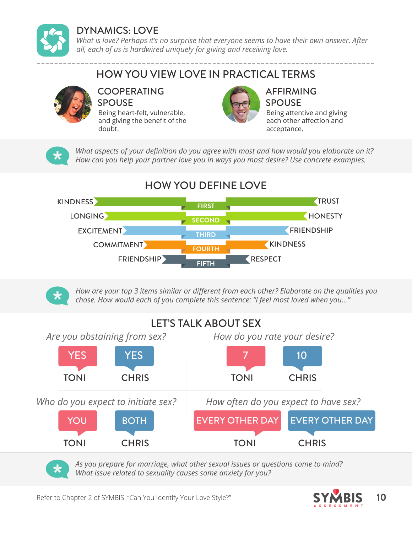

## DYNAMICS: LOVE

*What is love? Perhaps it's no surprise that everyone seems to have their own answer. After all, each of us is hardwired uniquely for giving and receiving love.*

# HOW YOU VIEW LOVE IN PRACTICAL TERMS



#### COOPERATING SPOUSE

Being heart-felt, vulnerable, and giving the benefit of the doubt.



#### AFFIRMING SPOUSE

Being attentive and giving each other affection and acceptance.

*What aspects of your definition do you agree with most and how would you elaborate on it? How can you help your partner love you in ways you most desire? Use concrete examples.*

# HOW YOU DEFINE LOVE





*How are your top 3 items similar or different from each other? Elaborate on the qualities you chose. How would each of you complete this sentence: "I feel most loved when you..."*

# LET'S TALK ABOUT SEX



*As you prepare for marriage, what other sexual issues or questions come to mind? What issue related to sexuality causes some anxiety for you?*

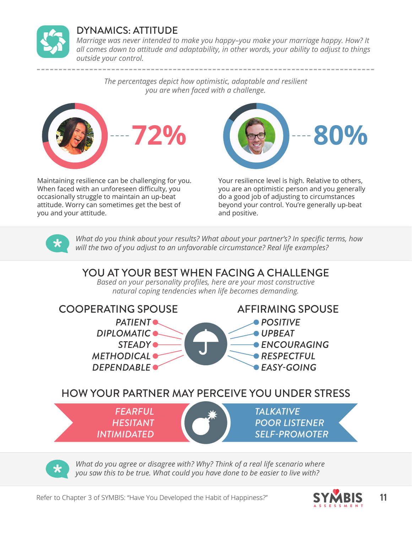

### DYNAMICS: ATTITUDE

*Marriage was never intended to make you happy–you make your marriage happy. How? It all comes down to attitude and adaptability, in other words, your ability to adjust to things outside your control.*

*The percentages depict how optimistic, adaptable and resilient you are when faced with a challenge.*



Maintaining resilience can be challenging for you. When faced with an unforeseen difficulty, you occasionally struggle to maintain an up-beat attitude. Worry can sometimes get the best of you and your attitude.



Your resilience level is high. Relative to others, you are an optimistic person and you generally do a good job of adjusting to circumstances beyond your control. You're generally up-beat and positive.



*What do you think about your results? What about your partner's? In specific terms, how will the two of you adjust to an unfavorable circumstance? Real life examples?*

## YOU AT YOUR BEST WHEN FACING A CHALLENGE

*Based on your personality profiles, here are your most constructive natural coping tendencies when life becomes demanding.*



*What do you agree or disagree with? Why? Think of a real life scenario where you saw this to be true. What could you have done to be easier to live with?*

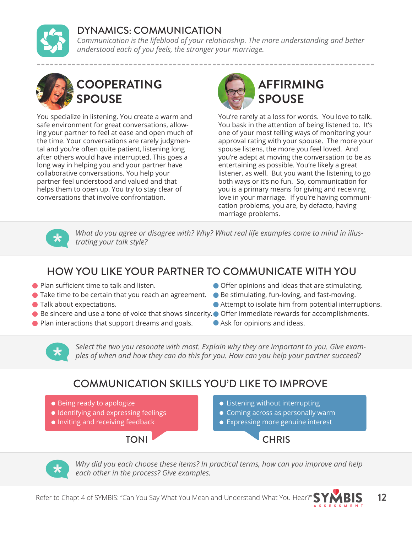## DYNAMICS: COMMUNICATION

*Communication is the lifeblood of your relationship. The more understanding and better understood each of you feels, the stronger your marriage.*



# **COOPERATING SPOUSE**

You specialize in listening. You create a warm and safe environment for great conversations, allowing your partner to feel at ease and open much of the time. Your conversations are rarely judgmental and you're often quite patient, listening long after others would have interrupted. This goes a long way in helping you and your partner have collaborative conversations. You help your partner feel understood and valued and that helps them to open up. You try to stay clear of conversations that involve confrontation.



You're rarely at a loss for words. You love to talk. You bask in the attention of being listened to. It's one of your most telling ways of monitoring your approval rating with your spouse. The more your spouse listens, the more you feel loved. And you're adept at moving the conversation to be as entertaining as possible. You're likely a great listener, as well. But you want the listening to go both ways or it's no fun. So, communication for you is a primary means for giving and receiving love in your marriage. If you're having communication problems, you are, by defacto, having marriage problems.



*What do you agree or disagree with? Why? What real life examples come to mind in illustrating your talk style?*

# HOW YOU LIKE YOUR PARTNER TO COMMUNICATE WITH YOU

- **Plan sufficient time to talk and listen.**
- Take time to be certain that you reach an agreement. Be stimulating, fun-loving, and fast-moving.
- Talk about expectations.
- Be sincere and use a tone of voice that shows sincerity. Offer immediate rewards for accomplishments.
- **Plan interactions that support dreams and goals.**
- Offer opinions and ideas that are stimulating.
- 
- Attempt to isolate him from potential interruptions.
- 
- Ask for opinions and ideas.



*Select the two you resonate with most. Explain why they are important to you. Give examples of when and how they can do this for you. How can you help your partner succeed?*

# COMMUNICATION SKILLS YOU'D LIKE TO IMPROVE

- Being ready to apologize
- $\bullet$  Identifying and expressing feelings
- **Inviting and receiving feedback**



- **Coming across as personally warm**
- **Expressing more genuine interest**



TONI CHRIS



*Why did you each choose these items? In practical terms, how can you improve and help each other in the process? Give examples.* 



ASSESSMENT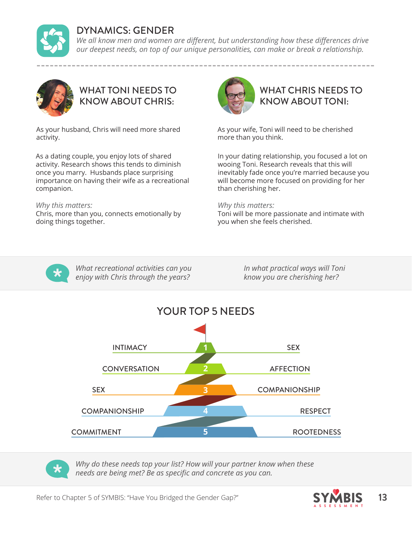

#### DYNAMICS: GENDER

We all know men and women are different, but understanding how these differences drive *our deepest needs, on top of our unique personalities, can make or break a relationship.*



WHAT TONI NEEDS TO KNOW ABOUT CHRIS:

As your husband, Chris will need more shared activity.

As a dating couple, you enjoy lots of shared activity. Research shows this tends to diminish once you marry. Husbands place surprising importance on having their wife as a recreational companion.

#### *Why this matters:*

Chris, more than you, connects emotionally by doing things together.



## WHAT CHRIS NEEDS TO KNOW ABOUT TONI:

As your wife, Toni will need to be cherished more than you think.

In your dating relationship, you focused a lot on wooing Toni. Research reveals that this will inevitably fade once you're married because you will become more focused on providing for her than cherishing her.

#### *Why this matters:*

Toni will be more passionate and intimate with you when she feels cherished.



*What recreational activities can you enjoy with Chris through the years?*

*In what practical ways will Toni know you are cherishing her?*





*Why do these needs top your list? How will your partner know when these needs are being met? Be as specific and concrete as you can.*

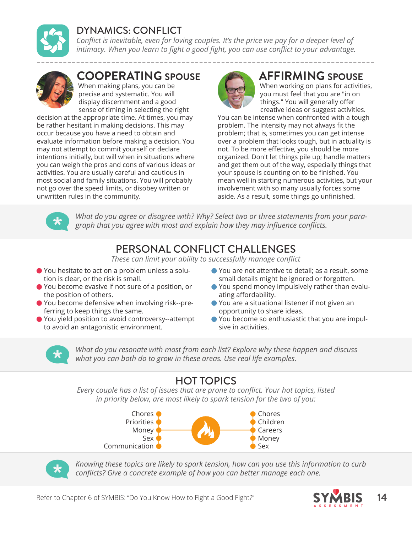

## DYNAMICS: CONFLICT

*Conflict is inevitable, even for loving couples. It's the price we pay for a deeper level of intimacy. When you learn to fight a good fight, you can use conflict to your advantage.*



# **COOPERATING SPOUSE AFFIRMING SPOUSE**

When making plans, you can be precise and systematic. You will display discernment and a good sense of timing in selecting the right

decision at the appropriate time. At times, you may be rather hesitant in making decisions. This may occur because you have a need to obtain and evaluate information before making a decision. You may not attempt to commit yourself or declare intentions initially, but will when in situations where you can weigh the pros and cons of various ideas or activities. You are usually careful and cautious in most social and family situations. You will probably not go over the speed limits, or disobey written or unwritten rules in the community.



When working on plans for activities, you must feel that you are "in on things." You will generally offer creative ideas or suggest activities.

You can be intense when confronted with a tough problem. The intensity may not always fit the problem; that is, sometimes you can get intense over a problem that looks tough, but in actuality is not. To be more effective, you should be more organized. Don't let things pile up; handle matters and get them out of the way, especially things that your spouse is counting on to be finished. You mean well in starting numerous activities, but your involvement with so many usually forces some aside. As a result, some things go unfinished.



*What do you agree or disagree with? Why? Select two or three statements from your paragraph that you agree with most and explain how they may influence conflicts.*

# PERSONAL CONFLICT CHALLENGES

*These can limit your ability to successfully manage conflict*

- You hesitate to act on a problem unless a solution is clear, or the risk is small.
- You become evasive if not sure of a position, or the position of others.
- You become defensive when involving risk--preferring to keep things the same.
- You yield position to avoid controversy--attempt to avoid an antagonistic environment.
- You are not attentive to detail; as a result, some small details might be ignored or forgotten.
- You spend money impulsively rather than evaluating affordability.
- You are a situational listener if not given an opportunity to share ideas.
- You become so enthusiastic that you are impulsive in activities.



*What do you resonate with most from each list? Explore why these happen and discuss what you can both do to grow in these areas. Use real life examples.*

# HOT TOPICS

*Every couple has a list of issues that are prone to conflict. Your hot topics, listed in priority below, are most likely to spark tension for the two of you:*





*Knowing these topics are likely to spark tension, how can you use this information to curb conflicts? Give a concrete example of how you can better manage each one.*

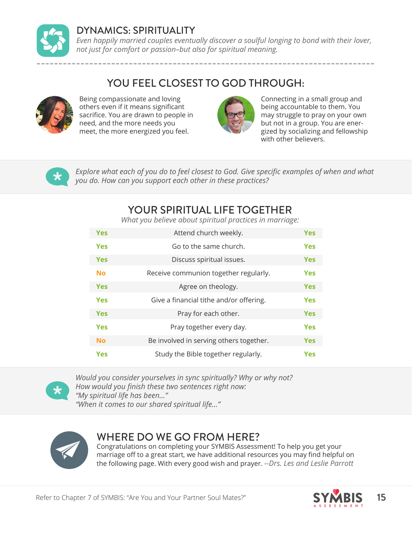

#### DYNAMICS: SPIRITUALITY

*Even happily married couples eventually discover a soulful longing to bond with their lover, not just for comfort or passion–but also for spiritual meaning.*

### YOU FEEL CLOSEST TO GOD THROUGH:



Being compassionate and loving others even if it means significant sacrifice. You are drawn to people in need, and the more needs you meet, the more energized you feel.



Connecting in a small group and being accountable to them. You may struggle to pray on your own but not in a group. You are energized by socializing and fellowship with other believers.



*Explore what each of you do to feel closest to God. Give specific examples of when and what you do. How can you support each other in these practices?*

## YOUR SPIRITUAL LIFE TOGETHER

*What you believe about spiritual practices in marriage:*

| <b>Yes</b> | Attend church weekly.                   | <b>Yes</b> |
|------------|-----------------------------------------|------------|
| <b>Yes</b> | Go to the same church.                  | <b>Yes</b> |
| <b>Yes</b> | Discuss spiritual issues.               | <b>Yes</b> |
| <b>No</b>  | Receive communion together regularly.   | <b>Yes</b> |
| <b>Yes</b> | Agree on theology.                      | <b>Yes</b> |
| <b>Yes</b> | Give a financial tithe and/or offering. | <b>Yes</b> |
| <b>Yes</b> | Pray for each other.                    | <b>Yes</b> |
| <b>Yes</b> | Pray together every day.                | <b>Yes</b> |
| <b>No</b>  | Be involved in serving others together. | <b>Yes</b> |
| <b>Yes</b> | Study the Bible together regularly.     | <b>Yes</b> |



*Would you consider yourselves in sync spiritually? Why or why not? How would you finish these two sentences right now: "My spiritual life has been..." "When it comes to our shared spiritual life..."*



#### WHERE DO WE GO FROM HERE?

Congratulations on completing your SYMBIS Assessment! To help you get your marriage off to a great start, we have additional resources you may find helpful on the following page. With every good wish and prayer. *--Drs. Les and Leslie Parrott*